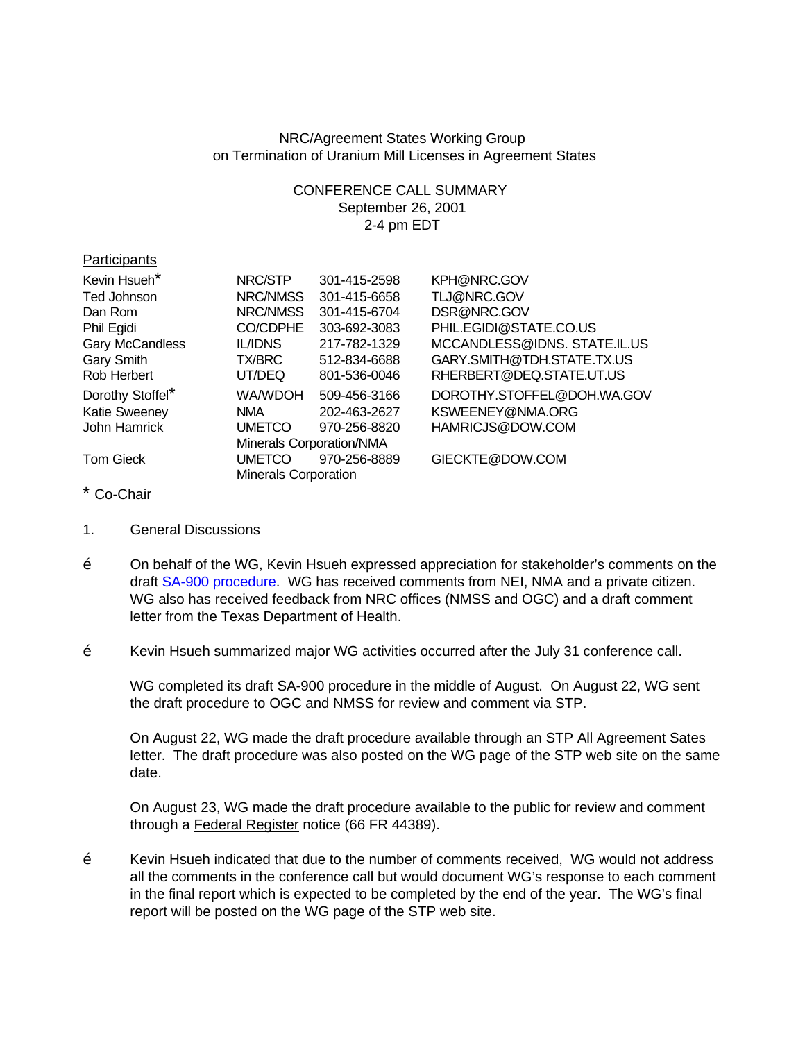## NRC/Agreement States Working Group on Termination of Uranium Mill Licenses in Agreement States

## CONFERENCE CALL SUMMARY September 26, 2001 2-4 pm EDT

| Participants         |                             |              |                              |
|----------------------|-----------------------------|--------------|------------------------------|
| Kevin Hsueh*         | NRC/STP                     | 301-415-2598 | KPH@NRC.GOV                  |
| Ted Johnson          | NRC/NMSS                    | 301-415-6658 | TLJ@NRC.GOV                  |
| Dan Rom              | NRC/NMSS                    | 301-415-6704 | DSR@NRC.GOV                  |
| Phil Egidi           | <b>CO/CDPHE</b>             | 303-692-3083 | PHIL.EGIDI@STATE.CO.US       |
| Gary McCandless      | <b>IL/IDNS</b>              | 217-782-1329 | MCCANDLESS@IDNS. STATE.IL.US |
| Gary Smith           | TX/BRC                      | 512-834-6688 | GARY.SMITH@TDH.STATE.TX.US   |
| Rob Herbert          | UT/DEQ                      | 801-536-0046 | RHERBERT@DEQ.STATE.UT.US     |
| Dorothy Stoffel*     | WA/WDOH                     | 509-456-3166 | DOROTHY.STOFFEL@DOH.WA.GOV   |
| <b>Katie Sweeney</b> | <b>NMA</b>                  | 202-463-2627 | KSWEENEY@NMA.ORG             |
| John Hamrick         | <b>UMETCO</b>               | 970-256-8820 | HAMRICJS@DOW.COM             |
|                      | Minerals Corporation/NMA    |              |                              |
| <b>Tom Gieck</b>     | <b>UMETCO</b>               | 970-256-8889 | GIECKTE@DOW.COM              |
|                      | <b>Minerals Corporation</b> |              |                              |

- \* Co-Chair
- 1. General Discussions
- $\check{Z}$  On behalf of the WG, Kevin Hsueh expressed appreciation for stakeholder's comments on the draft [SA-900 procedure.](http://www.hsrd.ornl.gov/nrc/umill/UWGsa900.pdf) WG has received comments from NEI, NMA and a private citizen. WG also has received feedback from NRC offices (NMSS and OGC) and a draft comment letter from the Texas Department of Health.
- $\check{Z}$  Kevin Hsueh summarized major WG activities occurred after the July 31 conference call.

WG completed its draft SA-900 procedure in the middle of August. On August 22, WG sent the draft procedure to OGC and NMSS for review and comment via STP.

On August 22, WG made the draft procedure available through an STP All Agreement Sates letter. The draft procedure was also posted on the WG page of the STP web site on the same date.

On August 23, WG made the draft procedure available to the public for review and comment through a Federal Register notice (66 FR 44389).

 $\check{Z}$  Kevin Hsueh indicated that due to the number of comments received, WG would not address all the comments in the conference call but would document WG's response to each comment in the final report which is expected to be completed by the end of the year. The WG's final report will be posted on the WG page of the STP web site.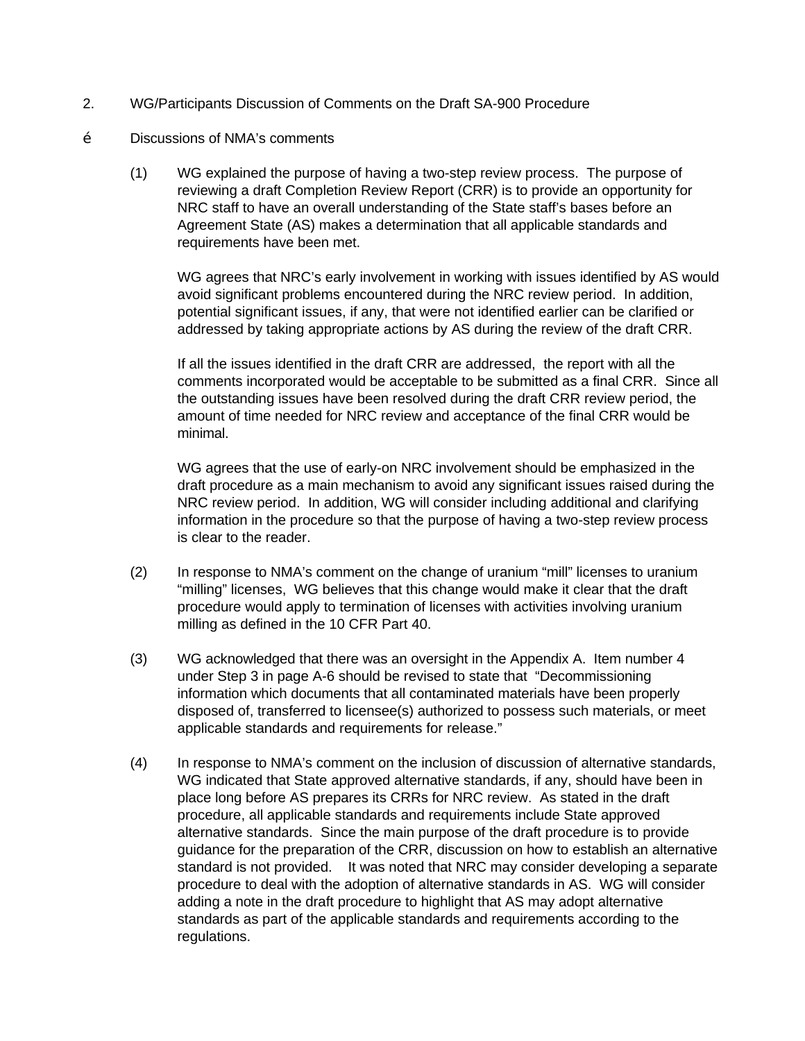- 2. WG/Participants Discussion of Comments on the Draft SA-900 Procedure
- Ž Discussions of NMA's comments
	- (1) WG explained the purpose of having a two-step review process. The purpose of reviewing a draft Completion Review Report (CRR) is to provide an opportunity for NRC staff to have an overall understanding of the State staff's bases before an Agreement State (AS) makes a determination that all applicable standards and requirements have been met.

WG agrees that NRC's early involvement in working with issues identified by AS would avoid significant problems encountered during the NRC review period. In addition, potential significant issues, if any, that were not identified earlier can be clarified or addressed by taking appropriate actions by AS during the review of the draft CRR.

If all the issues identified in the draft CRR are addressed, the report with all the comments incorporated would be acceptable to be submitted as a final CRR. Since all the outstanding issues have been resolved during the draft CRR review period, the amount of time needed for NRC review and acceptance of the final CRR would be minimal.

WG agrees that the use of early-on NRC involvement should be emphasized in the draft procedure as a main mechanism to avoid any significant issues raised during the NRC review period. In addition, WG will consider including additional and clarifying information in the procedure so that the purpose of having a two-step review process is clear to the reader.

- (2) In response to NMA's comment on the change of uranium "mill" licenses to uranium "milling" licenses, WG believes that this change would make it clear that the draft procedure would apply to termination of licenses with activities involving uranium milling as defined in the 10 CFR Part 40.
- (3) WG acknowledged that there was an oversight in the Appendix A. Item number 4 under Step 3 in page A-6 should be revised to state that "Decommissioning information which documents that all contaminated materials have been properly disposed of, transferred to licensee(s) authorized to possess such materials, or meet applicable standards and requirements for release."
- (4) In response to NMA's comment on the inclusion of discussion of alternative standards, WG indicated that State approved alternative standards, if any, should have been in place long before AS prepares its CRRs for NRC review. As stated in the draft procedure, all applicable standards and requirements include State approved alternative standards. Since the main purpose of the draft procedure is to provide guidance for the preparation of the CRR, discussion on how to establish an alternative standard is not provided. It was noted that NRC may consider developing a separate procedure to deal with the adoption of alternative standards in AS. WG will consider adding a note in the draft procedure to highlight that AS may adopt alternative standards as part of the applicable standards and requirements according to the regulations.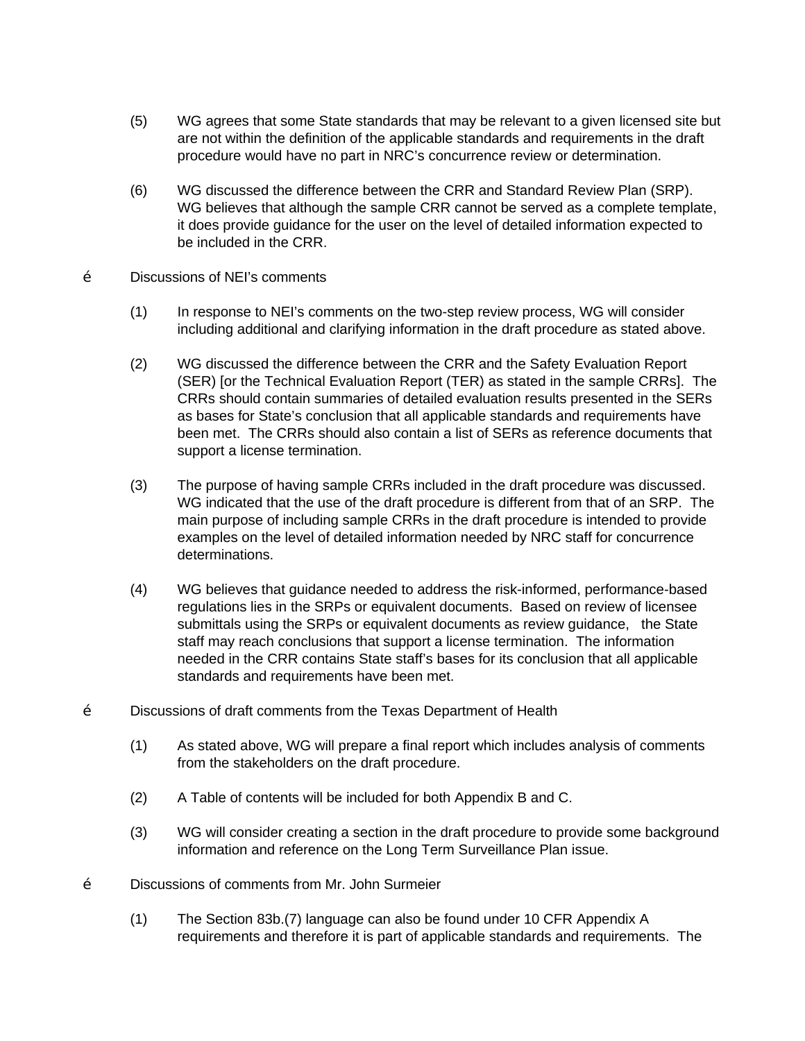- (5) WG agrees that some State standards that may be relevant to a given licensed site but are not within the definition of the applicable standards and requirements in the draft procedure would have no part in NRC's concurrence review or determination.
- (6) WG discussed the difference between the CRR and Standard Review Plan (SRP). WG believes that although the sample CRR cannot be served as a complete template, it does provide guidance for the user on the level of detailed information expected to be included in the CRR.
- Ž Discussions of NEI's comments
	- (1) In response to NEI's comments on the two-step review process, WG will consider including additional and clarifying information in the draft procedure as stated above.
	- (2) WG discussed the difference between the CRR and the Safety Evaluation Report (SER) [or the Technical Evaluation Report (TER) as stated in the sample CRRs]. The CRRs should contain summaries of detailed evaluation results presented in the SERs as bases for State's conclusion that all applicable standards and requirements have been met. The CRRs should also contain a list of SERs as reference documents that support a license termination.
	- (3) The purpose of having sample CRRs included in the draft procedure was discussed. WG indicated that the use of the draft procedure is different from that of an SRP. The main purpose of including sample CRRs in the draft procedure is intended to provide examples on the level of detailed information needed by NRC staff for concurrence determinations.
	- (4) WG believes that guidance needed to address the risk-informed, performance-based regulations lies in the SRPs or equivalent documents. Based on review of licensee submittals using the SRPs or equivalent documents as review guidance, the State staff may reach conclusions that support a license termination. The information needed in the CRR contains State staff's bases for its conclusion that all applicable standards and requirements have been met.
- Ž Discussions of draft comments from the Texas Department of Health
	- (1) As stated above, WG will prepare a final report which includes analysis of comments from the stakeholders on the draft procedure.
	- (2) A Table of contents will be included for both Appendix B and C.
	- (3) WG will consider creating a section in the draft procedure to provide some background information and reference on the Long Term Surveillance Plan issue.
- Ž Discussions of comments from Mr. John Surmeier
	- (1) The Section 83b.(7) language can also be found under 10 CFR Appendix A requirements and therefore it is part of applicable standards and requirements. The